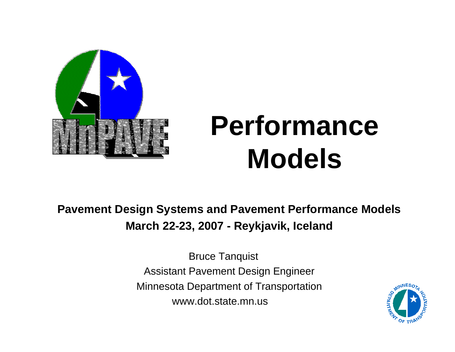

# **Performance Models**

**Pavement Design Systems and Pavement Performance Models March 22-23, 2007 - Reykjavik, Iceland**

> Bruce Tanquist Assistant Pavement Design Engineer Minnesota Department of Transportation www.dot.state.mn.us

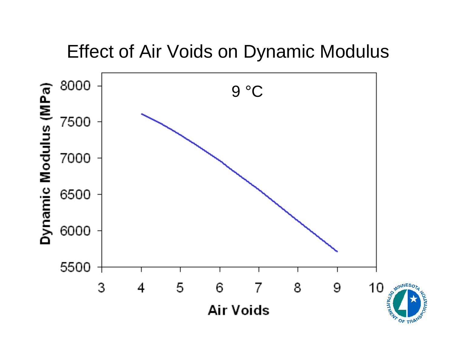#### Effect of Air Voids on Dynamic Modulus

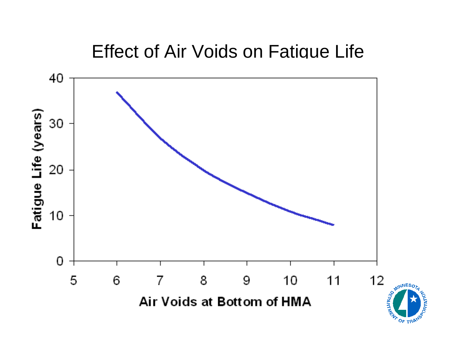#### Effect of Air Voids on Fatigue Life

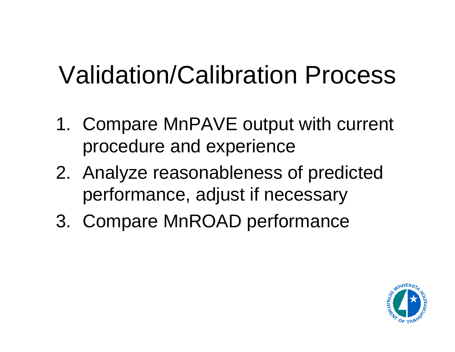# Validation/Calibration Process

- 1. Compare MnPAVE output with current procedure and experience
- 2. Analyze reasonableness of predicted performance, adjust if necessary
- 3. Compare MnROAD performance

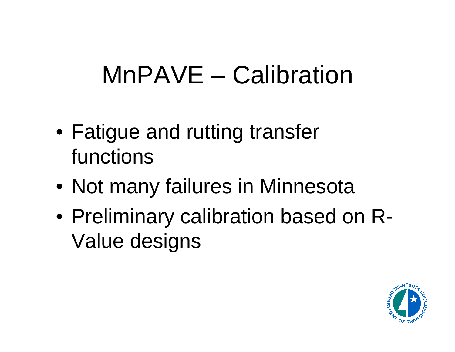## MnPAVE – Calibration

- Fatigue and rutting transfer functions
- Not many failures in Minnesota
- Preliminary calibration based on R-Value designs

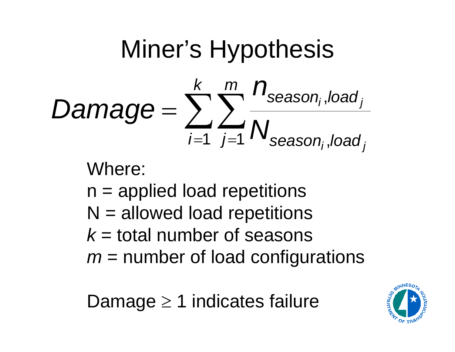# Miner's Hypothesis



Where:

- $n =$  applied load repetitions
- $N =$  allowed load repetitions
- *k* = total number of seasons
- *m* = number of load configurations

Damage ≥ 1 indicates failure

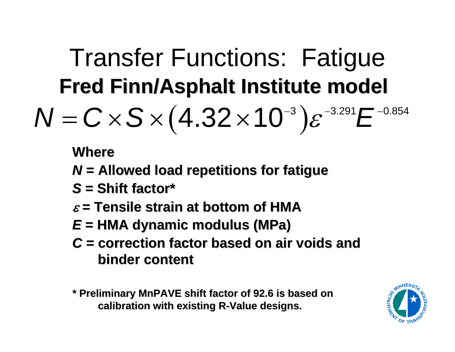#### Transfer Functions: Fatigue **Fred Finn/Asphalt Institute model Fred Finn/Asphalt Institute model**  $(4.32\times10^{-3})\varepsilon^{-3.291}E^{-0.854}$  $4.32\times 10^{-3}$  ) $\varepsilon^{-3.291}E^{-1}$ *N* = $C \times S \times (4.32 \times 10^{-3}) \varepsilon^{-3.291} E$

**Where**

- *N* **= Allowed load repetitions for fatigue = Allowed load repetitions for fatigue**
- *S* **= Shift factor\* = Shift factor\***
- ε **= Tensile strain at bottom of HMA = Tensile strain at bottom of HMA**
- *E* **= HMA dynamic modulus (MPa) = HMA dynamic modulus (MPa)**
- *C* **= correction factor based on air voids and = correction factor based on air voids and binder content binder content**
- **\* Preliminary MnPAVE shift factor of 92.6 is based on \* Preliminary MnPAVE shift factor of 92.6 is based on calibration with existing R calibration with existing R -Value designs. Value designs.**

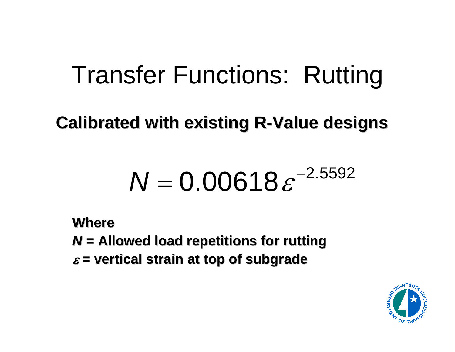## Transfer Functions: Rutting

#### **Calibrated with existing R Calibrated with existing R -Value designs Value designs**

#### 2.5592  $0.00618 \,\varepsilon^{-1}$  $N$  = 0.00618 $\varepsilon$

**Where***N* **= Allowed load repetitions for rutting = Allowed load repetitions for rutting** ε **= vertical strain at top of subgrade = vertical strain at top of subgrade**

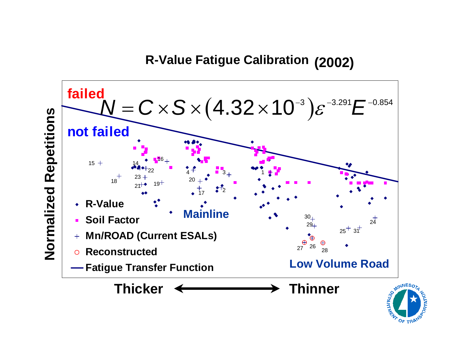#### **R - V alu e Fatigue C alib r ation (2002)**



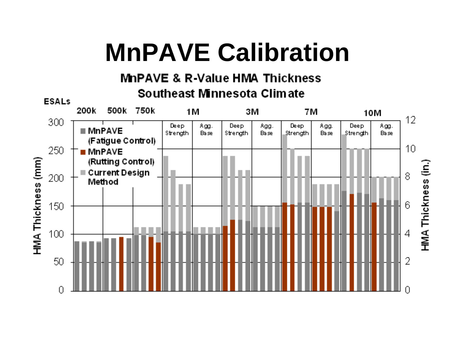# **MnPAVE Calibration**

#### **MnPAVE & R-Value HMA Thickness** Southeast Minnesota Climate

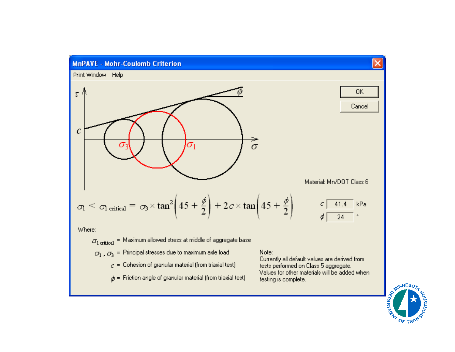

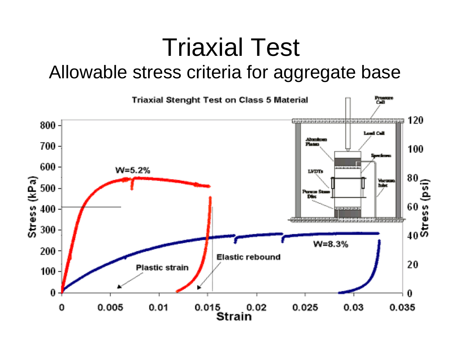#### Triaxial Test Allowable stress criteria for aggregate base

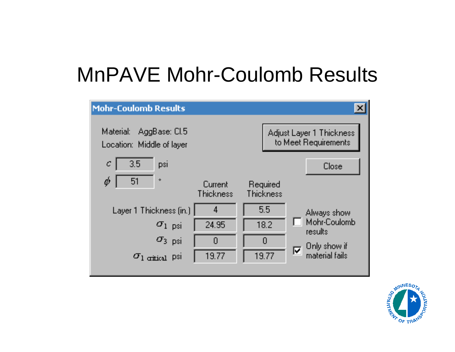#### MnPAVE Mohr-Coulomb Results



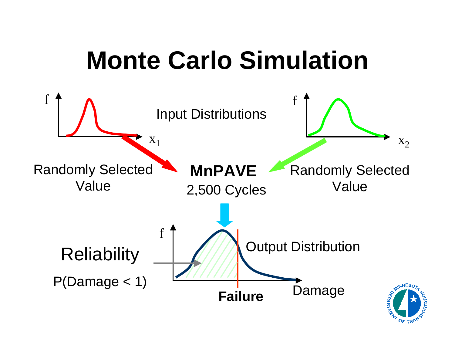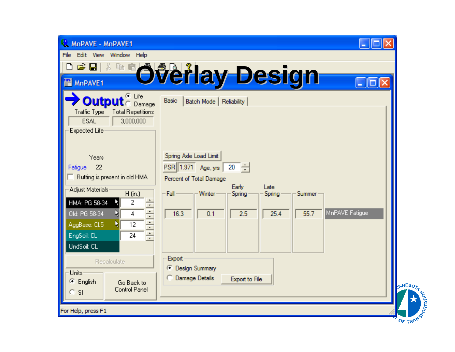| MnPAVE - MnPAVE1                                                                                                                                                                                                                                      | o                                                                                                                                                                                                                 |
|-------------------------------------------------------------------------------------------------------------------------------------------------------------------------------------------------------------------------------------------------------|-------------------------------------------------------------------------------------------------------------------------------------------------------------------------------------------------------------------|
| File Edit View Window Help                                                                                                                                                                                                                            |                                                                                                                                                                                                                   |
| ¥,<br>电量<br>c ei<br>D                                                                                                                                                                                                                                 |                                                                                                                                                                                                                   |
| 뺼<br>MnPAVE1                                                                                                                                                                                                                                          | Overlay Design<br>∥□∥×<br>٠                                                                                                                                                                                       |
| $C$ Life<br><b>Output</b> C Damage<br>Traffic Type<br><b>Total Repetitions</b><br><b>ESAL</b><br>3,000,000<br>Expected Life                                                                                                                           | Basic<br>Batch Mode   Reliability                                                                                                                                                                                 |
| Years<br>22<br>Fatigue<br>$\Box$ Rutting is present in old HMA<br>Adjust Materials<br>$H$ (in.)<br>2<br>HMA: PG 58-34<br>Ξ<br>÷<br>Old: PG 58-34<br>4<br>ŀ۶<br>$\frac{1}{\cdot}$<br>12<br>AggBase: Cl.5<br>Ŋ<br>두<br>EngSoil: CL<br>24<br>UndSoil: CL | Spring Axle Load Limit<br>$PSR$   1.971 Age, yrs<br>$20 \div$<br>Percent of Total Damage<br>Early<br>Late<br>Winter<br>Fall<br>Spring<br>Summer<br>Spring<br>MnPAVE Fatigue<br>55.7<br>16.3<br>0.1<br>2.5<br>25.4 |
| Recalculate<br>Units<br>C English<br>Go Back to<br><b>Control Panel</b><br>$C$ SI                                                                                                                                                                     | Export<br>C Design Summary<br>C Damage Details<br><b>Export to File</b><br><b>MNESOTA</b>                                                                                                                         |
| For Help, press F1                                                                                                                                                                                                                                    |                                                                                                                                                                                                                   |
|                                                                                                                                                                                                                                                       | OF TRA                                                                                                                                                                                                            |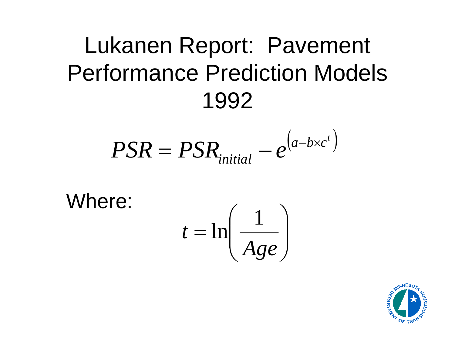## Lukanen Report: Pavement Performance Prediction Models 1992

$$
PSR = PSR_{initial} - e^{(a - b \times c^{t})}
$$

Where:

$$
t = \ln\left(\frac{1}{Age}\right)
$$

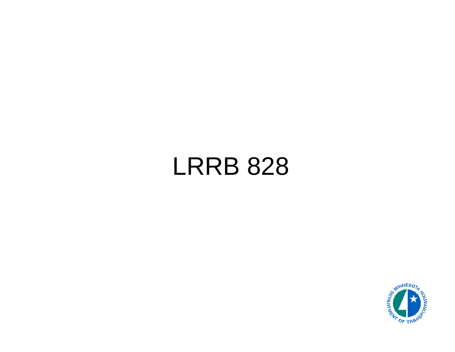## LRRB 828

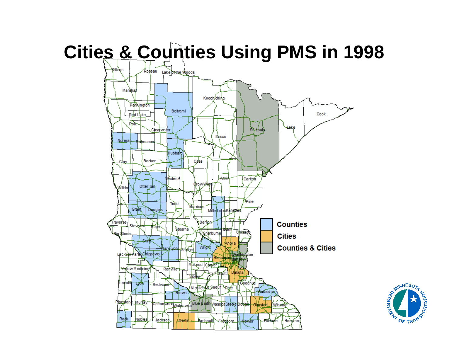#### **Cities & Counties Using PMS in 1998**



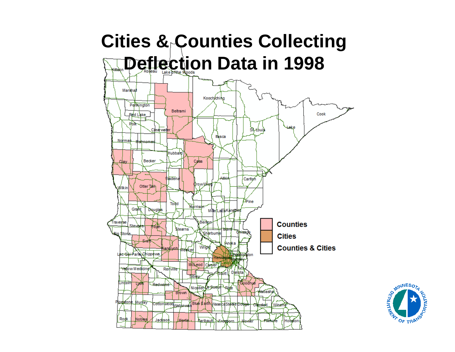

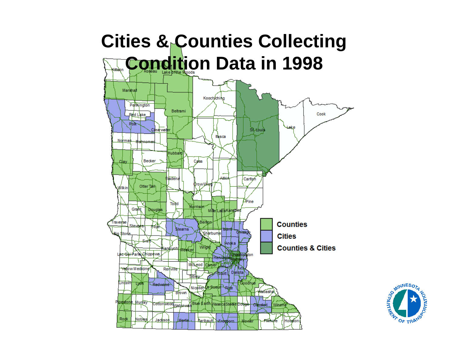

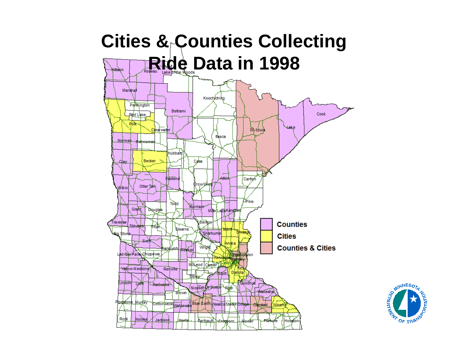

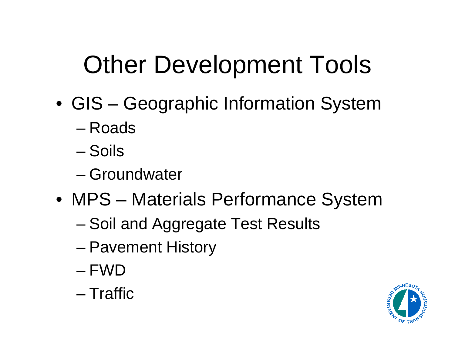# Other Development Tools

- GIS Geographic Information System
	- –Roads
	- –Soils
	- –Groundwater
- MPS Materials Performance System
	- and the state of the state – Soil and Aggregate Test Results
	- and the state of the state Pavement History
	- FWD
	- Traffic

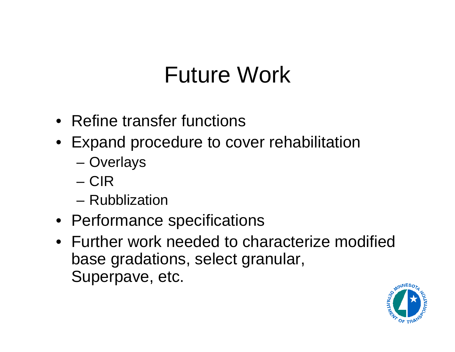## Future Work

- Refine transfer functions
- Expand procedure to cover rehabilitation
	- –**Overlays**
	- CIR
	- Rubblization
- Performance specifications
- Further work needed to characterize modified base gradations, select granular, Superpave, etc.